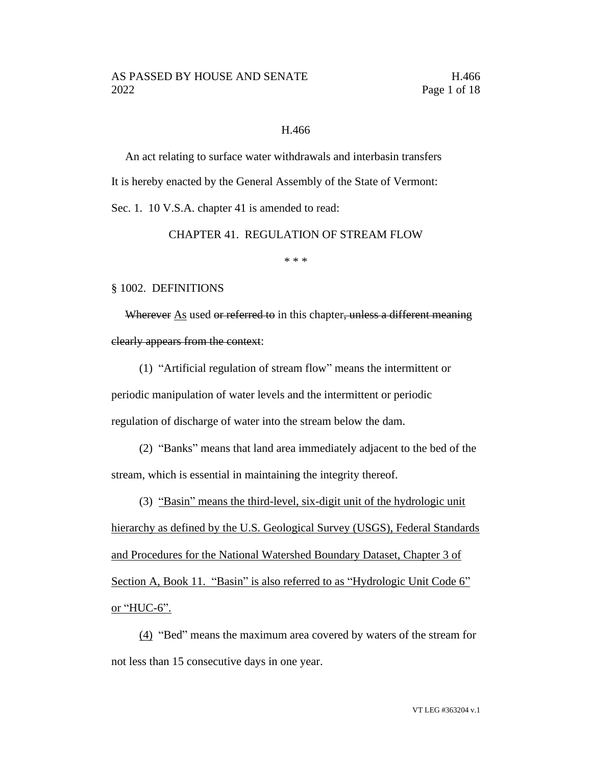#### H.466

An act relating to surface water withdrawals and interbasin transfers It is hereby enacted by the General Assembly of the State of Vermont:

Sec. 1. 10 V.S.A. chapter 41 is amended to read:

CHAPTER 41. REGULATION OF STREAM FLOW

\* \* \*

#### § 1002. DEFINITIONS

Wherever As used or referred to in this chapter, unless a different meaning clearly appears from the context:

(1) "Artificial regulation of stream flow" means the intermittent or periodic manipulation of water levels and the intermittent or periodic regulation of discharge of water into the stream below the dam.

(2) "Banks" means that land area immediately adjacent to the bed of the stream, which is essential in maintaining the integrity thereof.

(3) "Basin" means the third-level, six-digit unit of the hydrologic unit hierarchy as defined by the U.S. Geological Survey (USGS), Federal Standards and Procedures for the National Watershed Boundary Dataset, Chapter 3 of Section A, Book 11. "Basin" is also referred to as "Hydrologic Unit Code 6" or "HUC-6".

(4) "Bed" means the maximum area covered by waters of the stream for not less than 15 consecutive days in one year.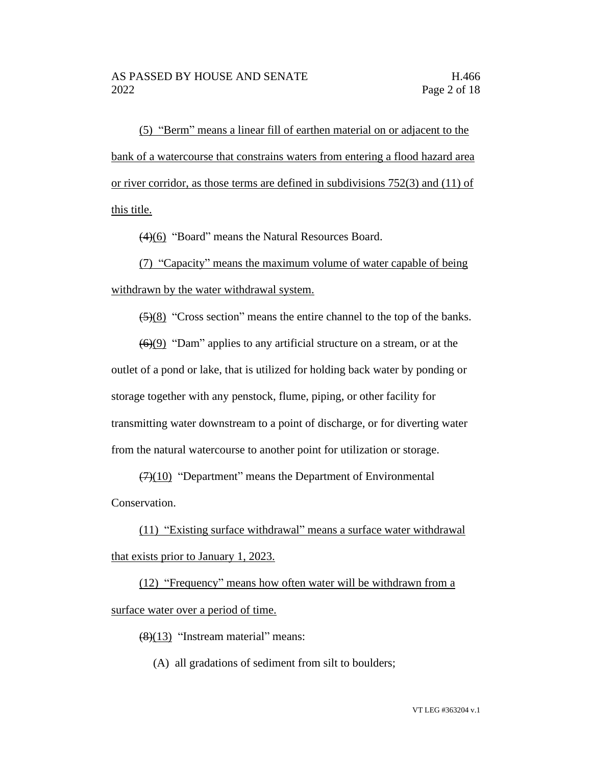(5) "Berm" means a linear fill of earthen material on or adjacent to the bank of a watercourse that constrains waters from entering a flood hazard area or river corridor, as those terms are defined in subdivisions 752(3) and (11) of this title.

(4)(6) "Board" means the Natural Resources Board.

(7) "Capacity" means the maximum volume of water capable of being withdrawn by the water withdrawal system.

 $(5)(8)$  "Cross section" means the entire channel to the top of the banks.

 $\left(\frac{6}{9}\right)$  "Dam" applies to any artificial structure on a stream, or at the outlet of a pond or lake, that is utilized for holding back water by ponding or storage together with any penstock, flume, piping, or other facility for transmitting water downstream to a point of discharge, or for diverting water from the natural watercourse to another point for utilization or storage.

 $(7)(10)$  "Department" means the Department of Environmental Conservation.

(11) "Existing surface withdrawal" means a surface water withdrawal that exists prior to January 1, 2023.

(12) "Frequency" means how often water will be withdrawn from a surface water over a period of time.

(8)(13) "Instream material" means:

(A) all gradations of sediment from silt to boulders;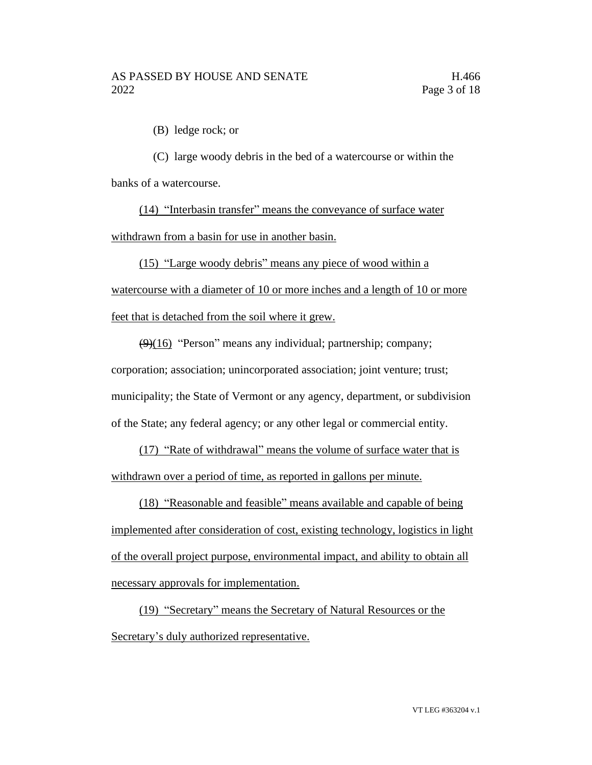(B) ledge rock; or

(C) large woody debris in the bed of a watercourse or within the banks of a watercourse.

(14) "Interbasin transfer" means the conveyance of surface water withdrawn from a basin for use in another basin.

(15) "Large woody debris" means any piece of wood within a watercourse with a diameter of 10 or more inches and a length of 10 or more feet that is detached from the soil where it grew.

 $(9)(16)$  "Person" means any individual; partnership; company; corporation; association; unincorporated association; joint venture; trust; municipality; the State of Vermont or any agency, department, or subdivision of the State; any federal agency; or any other legal or commercial entity.

(17) "Rate of withdrawal" means the volume of surface water that is withdrawn over a period of time, as reported in gallons per minute.

(18) "Reasonable and feasible" means available and capable of being implemented after consideration of cost, existing technology, logistics in light of the overall project purpose, environmental impact, and ability to obtain all necessary approvals for implementation.

(19) "Secretary" means the Secretary of Natural Resources or the Secretary's duly authorized representative.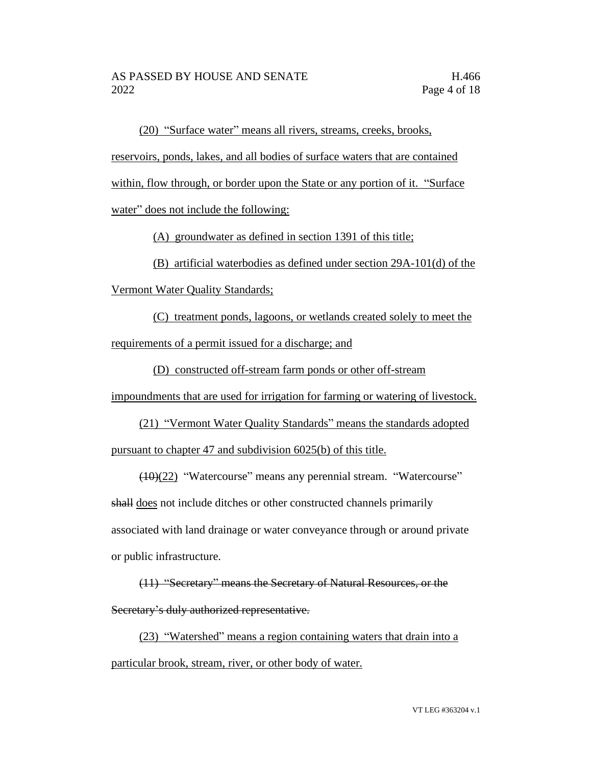(20) "Surface water" means all rivers, streams, creeks, brooks, reservoirs, ponds, lakes, and all bodies of surface waters that are contained within, flow through, or border upon the State or any portion of it. "Surface water" does not include the following:

(A) groundwater as defined in section 1391 of this title;

(B) artificial waterbodies as defined under section 29A-101(d) of the

Vermont Water Quality Standards;

(C) treatment ponds, lagoons, or wetlands created solely to meet the requirements of a permit issued for a discharge; and

(D) constructed off-stream farm ponds or other off-stream

impoundments that are used for irrigation for farming or watering of livestock.

(21) "Vermont Water Quality Standards" means the standards adopted pursuant to chapter 47 and subdivision 6025(b) of this title.

(10)(22) "Watercourse" means any perennial stream. "Watercourse" shall does not include ditches or other constructed channels primarily associated with land drainage or water conveyance through or around private or public infrastructure.

(11) "Secretary" means the Secretary of Natural Resources, or the Secretary's duly authorized representative.

(23) "Watershed" means a region containing waters that drain into a particular brook, stream, river, or other body of water.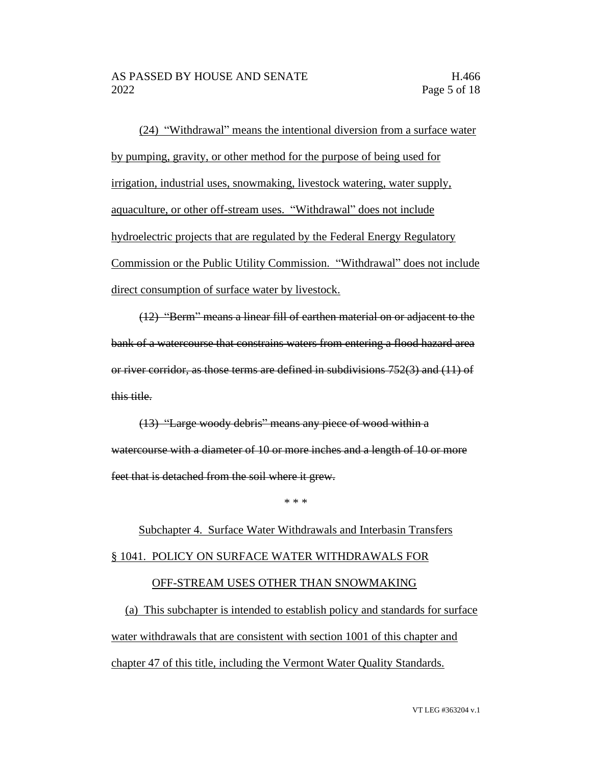(24) "Withdrawal" means the intentional diversion from a surface water by pumping, gravity, or other method for the purpose of being used for irrigation, industrial uses, snowmaking, livestock watering, water supply, aquaculture, or other off-stream uses. "Withdrawal" does not include hydroelectric projects that are regulated by the Federal Energy Regulatory Commission or the Public Utility Commission. "Withdrawal" does not include direct consumption of surface water by livestock.

(12) "Berm" means a linear fill of earthen material on or adjacent to the bank of a watercourse that constrains waters from entering a flood hazard area or river corridor, as those terms are defined in subdivisions 752(3) and (11) of this title.

(13) "Large woody debris" means any piece of wood within a watercourse with a diameter of 10 or more inches and a length of 10 or more feet that is detached from the soil where it grew.

\* \* \*

# Subchapter 4. Surface Water Withdrawals and Interbasin Transfers § 1041. POLICY ON SURFACE WATER WITHDRAWALS FOR OFF-STREAM USES OTHER THAN SNOWMAKING

(a) This subchapter is intended to establish policy and standards for surface water withdrawals that are consistent with section 1001 of this chapter and chapter 47 of this title, including the Vermont Water Quality Standards.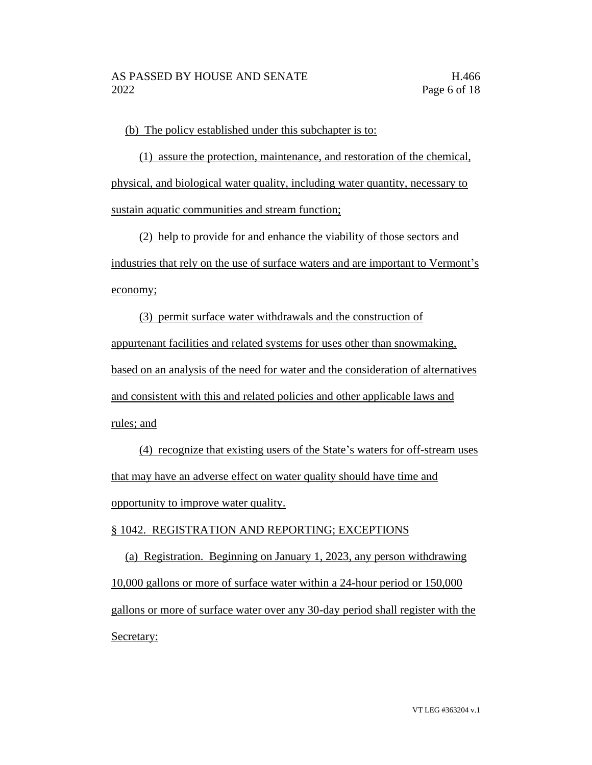(b) The policy established under this subchapter is to:

(1) assure the protection, maintenance, and restoration of the chemical, physical, and biological water quality, including water quantity, necessary to sustain aquatic communities and stream function;

(2) help to provide for and enhance the viability of those sectors and industries that rely on the use of surface waters and are important to Vermont's economy;

(3) permit surface water withdrawals and the construction of appurtenant facilities and related systems for uses other than snowmaking, based on an analysis of the need for water and the consideration of alternatives and consistent with this and related policies and other applicable laws and rules; and

(4) recognize that existing users of the State's waters for off-stream uses that may have an adverse effect on water quality should have time and opportunity to improve water quality.

# § 1042. REGISTRATION AND REPORTING; EXCEPTIONS

(a) Registration. Beginning on January 1, 2023, any person withdrawing 10,000 gallons or more of surface water within a 24-hour period or 150,000 gallons or more of surface water over any 30-day period shall register with the Secretary: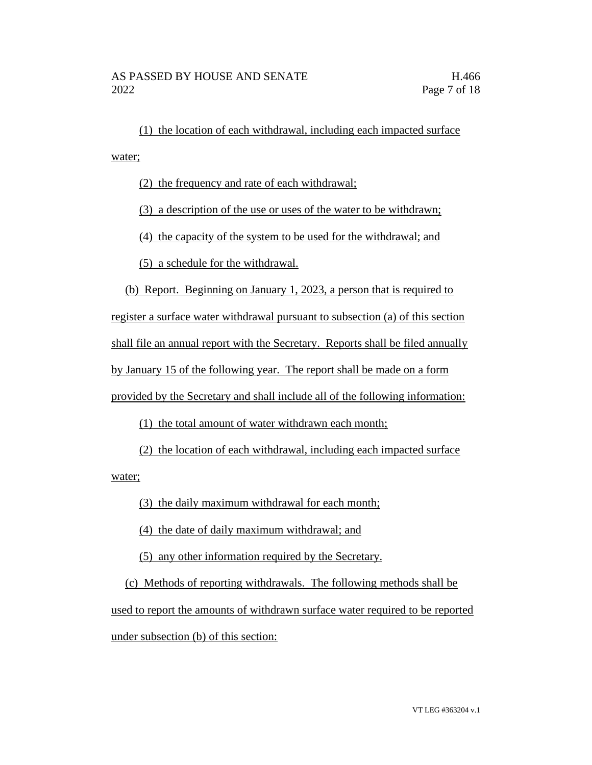(1) the location of each withdrawal, including each impacted surface water;

(2) the frequency and rate of each withdrawal;

(3) a description of the use or uses of the water to be withdrawn;

(4) the capacity of the system to be used for the withdrawal; and

(5) a schedule for the withdrawal.

(b) Report. Beginning on January 1, 2023, a person that is required to

register a surface water withdrawal pursuant to subsection (a) of this section shall file an annual report with the Secretary. Reports shall be filed annually by January 15 of the following year. The report shall be made on a form provided by the Secretary and shall include all of the following information:

(1) the total amount of water withdrawn each month;

(2) the location of each withdrawal, including each impacted surface

water;

(3) the daily maximum withdrawal for each month;

(4) the date of daily maximum withdrawal; and

(5) any other information required by the Secretary.

(c) Methods of reporting withdrawals. The following methods shall be used to report the amounts of withdrawn surface water required to be reported under subsection (b) of this section: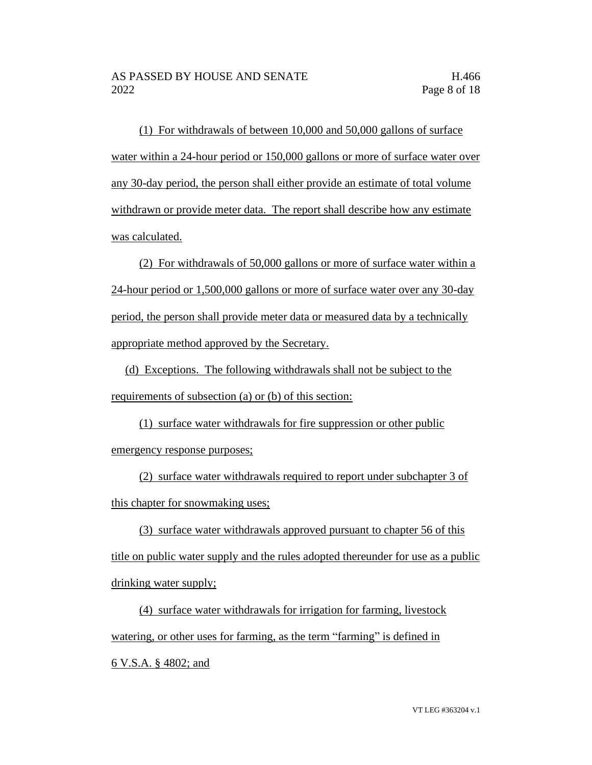(1) For withdrawals of between 10,000 and 50,000 gallons of surface water within a 24-hour period or 150,000 gallons or more of surface water over any 30-day period, the person shall either provide an estimate of total volume withdrawn or provide meter data. The report shall describe how any estimate was calculated.

(2) For withdrawals of 50,000 gallons or more of surface water within a 24-hour period or 1,500,000 gallons or more of surface water over any 30-day period, the person shall provide meter data or measured data by a technically appropriate method approved by the Secretary.

(d) Exceptions. The following withdrawals shall not be subject to the requirements of subsection (a) or (b) of this section:

(1) surface water withdrawals for fire suppression or other public emergency response purposes;

(2) surface water withdrawals required to report under subchapter 3 of this chapter for snowmaking uses;

(3) surface water withdrawals approved pursuant to chapter 56 of this title on public water supply and the rules adopted thereunder for use as a public drinking water supply;

(4) surface water withdrawals for irrigation for farming, livestock watering, or other uses for farming, as the term "farming" is defined in 6 V.S.A. § 4802; and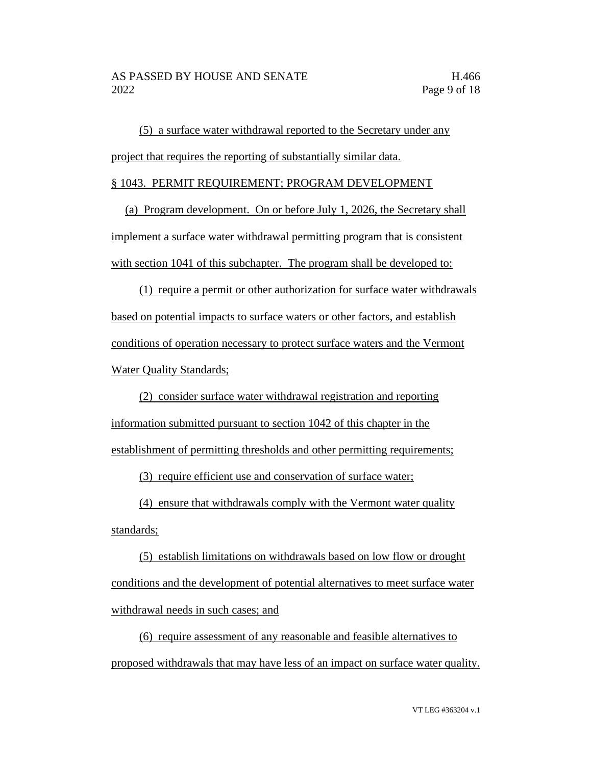(5) a surface water withdrawal reported to the Secretary under any project that requires the reporting of substantially similar data.

#### § 1043. PERMIT REQUIREMENT; PROGRAM DEVELOPMENT

(a) Program development. On or before July 1, 2026, the Secretary shall implement a surface water withdrawal permitting program that is consistent with section 1041 of this subchapter. The program shall be developed to:

(1) require a permit or other authorization for surface water withdrawals based on potential impacts to surface waters or other factors, and establish conditions of operation necessary to protect surface waters and the Vermont Water Quality Standards;

(2) consider surface water withdrawal registration and reporting information submitted pursuant to section 1042 of this chapter in the establishment of permitting thresholds and other permitting requirements;

(3) require efficient use and conservation of surface water;

(4) ensure that withdrawals comply with the Vermont water quality standards;

(5) establish limitations on withdrawals based on low flow or drought conditions and the development of potential alternatives to meet surface water withdrawal needs in such cases; and

(6) require assessment of any reasonable and feasible alternatives to proposed withdrawals that may have less of an impact on surface water quality.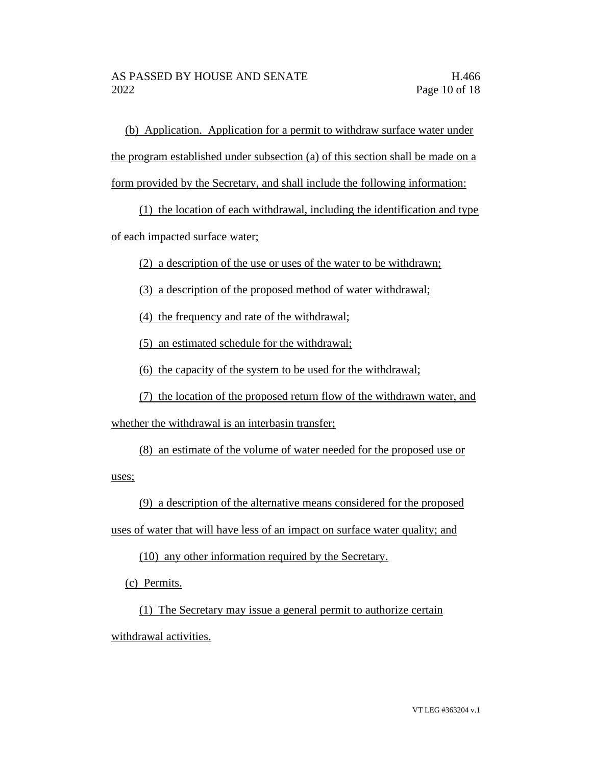(b) Application. Application for a permit to withdraw surface water under the program established under subsection (a) of this section shall be made on a form provided by the Secretary, and shall include the following information:

(1) the location of each withdrawal, including the identification and type

of each impacted surface water;

(2) a description of the use or uses of the water to be withdrawn;

(3) a description of the proposed method of water withdrawal;

(4) the frequency and rate of the withdrawal;

(5) an estimated schedule for the withdrawal;

(6) the capacity of the system to be used for the withdrawal;

(7) the location of the proposed return flow of the withdrawn water, and

whether the withdrawal is an interbasin transfer;

(8) an estimate of the volume of water needed for the proposed use or

uses;

(9) a description of the alternative means considered for the proposed

uses of water that will have less of an impact on surface water quality; and

(10) any other information required by the Secretary.

(c) Permits.

(1) The Secretary may issue a general permit to authorize certain withdrawal activities.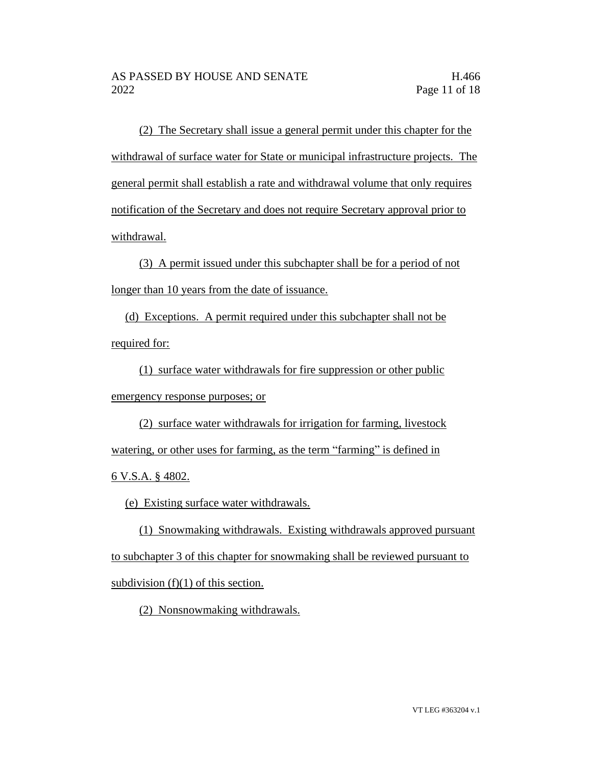(2) The Secretary shall issue a general permit under this chapter for the withdrawal of surface water for State or municipal infrastructure projects. The general permit shall establish a rate and withdrawal volume that only requires notification of the Secretary and does not require Secretary approval prior to withdrawal.

(3) A permit issued under this subchapter shall be for a period of not longer than 10 years from the date of issuance.

(d) Exceptions. A permit required under this subchapter shall not be required for:

(1) surface water withdrawals for fire suppression or other public emergency response purposes; or

(2) surface water withdrawals for irrigation for farming, livestock watering, or other uses for farming, as the term "farming" is defined in 6 V.S.A. § 4802.

(e) Existing surface water withdrawals.

(1) Snowmaking withdrawals. Existing withdrawals approved pursuant to subchapter 3 of this chapter for snowmaking shall be reviewed pursuant to subdivision  $(f)(1)$  of this section.

(2) Nonsnowmaking withdrawals.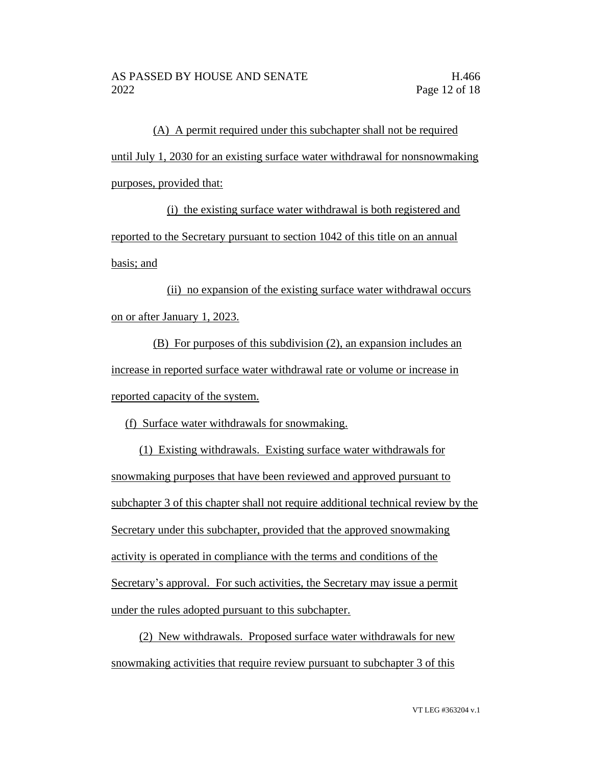(A) A permit required under this subchapter shall not be required until July 1, 2030 for an existing surface water withdrawal for nonsnowmaking purposes, provided that:

(i) the existing surface water withdrawal is both registered and reported to the Secretary pursuant to section 1042 of this title on an annual basis; and

(ii) no expansion of the existing surface water withdrawal occurs on or after January 1, 2023.

(B) For purposes of this subdivision (2), an expansion includes an increase in reported surface water withdrawal rate or volume or increase in reported capacity of the system.

(f) Surface water withdrawals for snowmaking.

(1) Existing withdrawals. Existing surface water withdrawals for snowmaking purposes that have been reviewed and approved pursuant to subchapter 3 of this chapter shall not require additional technical review by the Secretary under this subchapter, provided that the approved snowmaking activity is operated in compliance with the terms and conditions of the Secretary's approval. For such activities, the Secretary may issue a permit under the rules adopted pursuant to this subchapter.

(2) New withdrawals. Proposed surface water withdrawals for new snowmaking activities that require review pursuant to subchapter 3 of this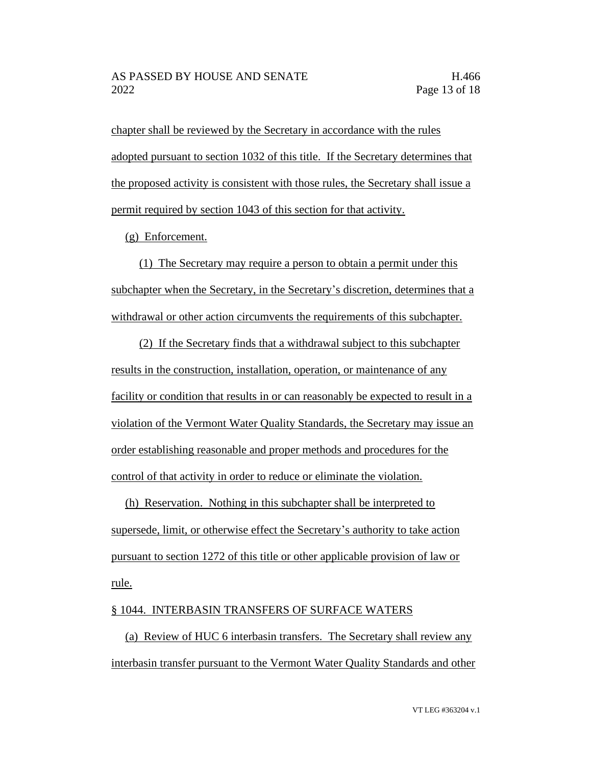chapter shall be reviewed by the Secretary in accordance with the rules adopted pursuant to section 1032 of this title. If the Secretary determines that the proposed activity is consistent with those rules, the Secretary shall issue a permit required by section 1043 of this section for that activity.

(g) Enforcement.

(1) The Secretary may require a person to obtain a permit under this subchapter when the Secretary, in the Secretary's discretion, determines that a withdrawal or other action circumvents the requirements of this subchapter.

(2) If the Secretary finds that a withdrawal subject to this subchapter results in the construction, installation, operation, or maintenance of any facility or condition that results in or can reasonably be expected to result in a violation of the Vermont Water Quality Standards, the Secretary may issue an order establishing reasonable and proper methods and procedures for the control of that activity in order to reduce or eliminate the violation.

(h) Reservation. Nothing in this subchapter shall be interpreted to supersede, limit, or otherwise effect the Secretary's authority to take action pursuant to section 1272 of this title or other applicable provision of law or rule.

## § 1044. INTERBASIN TRANSFERS OF SURFACE WATERS

(a) Review of HUC 6 interbasin transfers. The Secretary shall review any interbasin transfer pursuant to the Vermont Water Quality Standards and other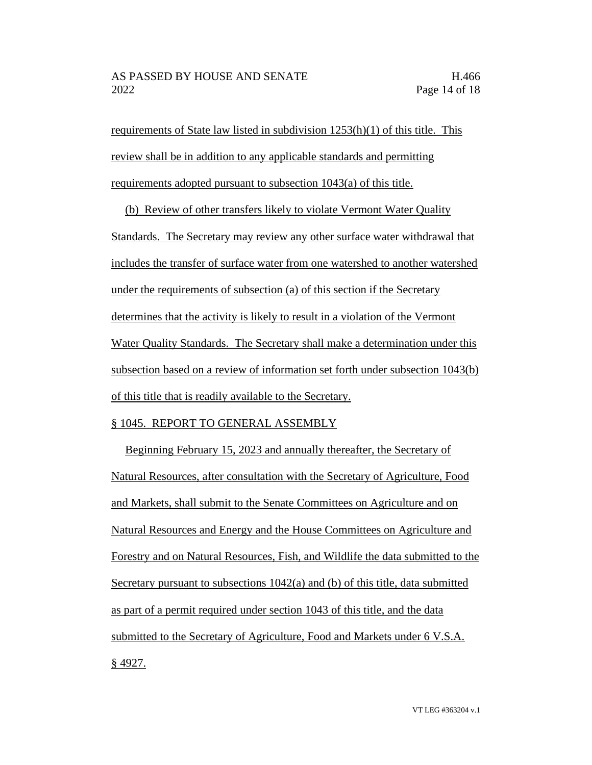requirements of State law listed in subdivision 1253(h)(1) of this title. This review shall be in addition to any applicable standards and permitting requirements adopted pursuant to subsection 1043(a) of this title.

(b) Review of other transfers likely to violate Vermont Water Quality Standards. The Secretary may review any other surface water withdrawal that includes the transfer of surface water from one watershed to another watershed under the requirements of subsection (a) of this section if the Secretary determines that the activity is likely to result in a violation of the Vermont Water Quality Standards. The Secretary shall make a determination under this subsection based on a review of information set forth under subsection 1043(b) of this title that is readily available to the Secretary.

#### § 1045. REPORT TO GENERAL ASSEMBLY

Beginning February 15, 2023 and annually thereafter, the Secretary of Natural Resources, after consultation with the Secretary of Agriculture, Food and Markets, shall submit to the Senate Committees on Agriculture and on Natural Resources and Energy and the House Committees on Agriculture and Forestry and on Natural Resources, Fish, and Wildlife the data submitted to the Secretary pursuant to subsections 1042(a) and (b) of this title, data submitted as part of a permit required under section 1043 of this title, and the data submitted to the Secretary of Agriculture, Food and Markets under 6 V.S.A. § 4927.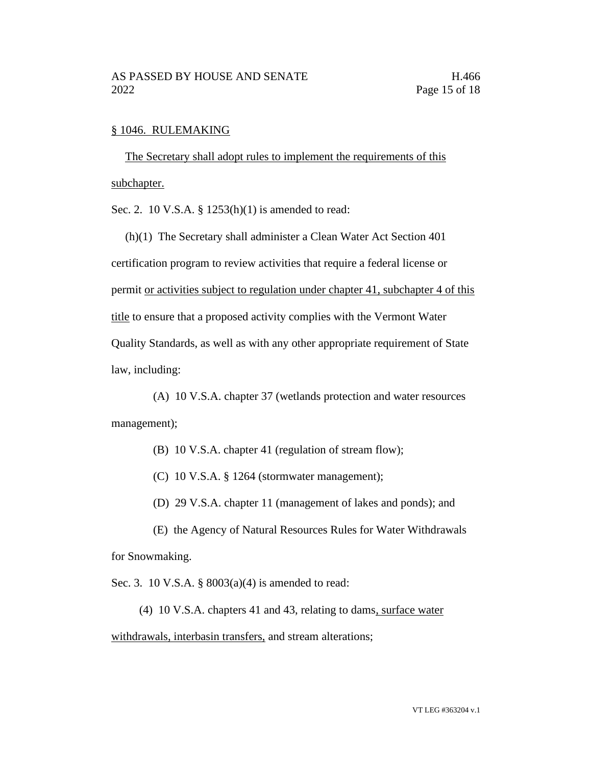#### § 1046. RULEMAKING

The Secretary shall adopt rules to implement the requirements of this subchapter.

Sec. 2. 10 V.S.A. § 1253(h)(1) is amended to read:

(h)(1) The Secretary shall administer a Clean Water Act Section 401 certification program to review activities that require a federal license or permit or activities subject to regulation under chapter 41, subchapter 4 of this title to ensure that a proposed activity complies with the Vermont Water Quality Standards, as well as with any other appropriate requirement of State law, including:

(A) 10 V.S.A. chapter 37 (wetlands protection and water resources management);

- (B) 10 V.S.A. chapter 41 (regulation of stream flow);
- (C) 10 V.S.A. § 1264 (stormwater management);
- (D) 29 V.S.A. chapter 11 (management of lakes and ponds); and

(E) the Agency of Natural Resources Rules for Water Withdrawals for Snowmaking.

Sec. 3. 10 V.S.A. § 8003(a)(4) is amended to read:

(4) 10 V.S.A. chapters 41 and 43, relating to dams, surface water

withdrawals, interbasin transfers, and stream alterations;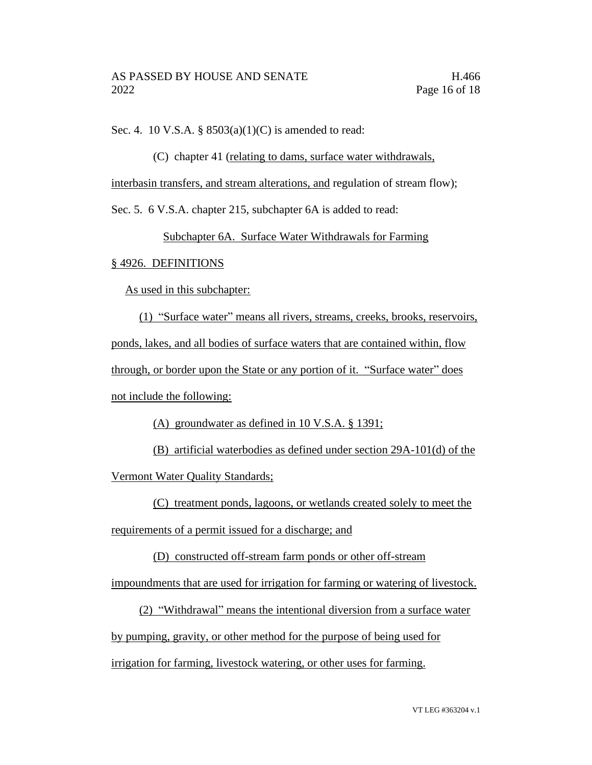Sec. 4. 10 V.S.A. § 8503(a)(1)(C) is amended to read:

(C) chapter 41 (relating to dams, surface water withdrawals,

interbasin transfers, and stream alterations, and regulation of stream flow);

Sec. 5. 6 V.S.A. chapter 215, subchapter 6A is added to read:

Subchapter 6A. Surface Water Withdrawals for Farming

### § 4926. DEFINITIONS

As used in this subchapter:

(1) "Surface water" means all rivers, streams, creeks, brooks, reservoirs, ponds, lakes, and all bodies of surface waters that are contained within, flow through, or border upon the State or any portion of it. "Surface water" does not include the following:

(A) groundwater as defined in 10 V.S.A. § 1391;

(B) artificial waterbodies as defined under section 29A-101(d) of the

Vermont Water Quality Standards;

(C) treatment ponds, lagoons, or wetlands created solely to meet the

requirements of a permit issued for a discharge; and

(D) constructed off-stream farm ponds or other off-stream

impoundments that are used for irrigation for farming or watering of livestock.

(2) "Withdrawal" means the intentional diversion from a surface water by pumping, gravity, or other method for the purpose of being used for

irrigation for farming, livestock watering, or other uses for farming.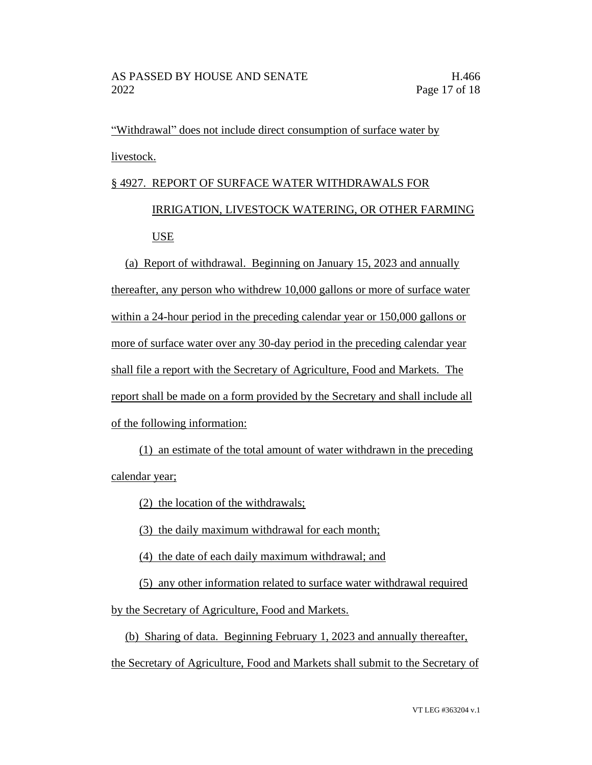"Withdrawal" does not include direct consumption of surface water by livestock.

# § 4927. REPORT OF SURFACE WATER WITHDRAWALS FOR

# IRRIGATION, LIVESTOCK WATERING, OR OTHER FARMING USE

(a) Report of withdrawal. Beginning on January 15, 2023 and annually thereafter, any person who withdrew 10,000 gallons or more of surface water within a 24-hour period in the preceding calendar year or 150,000 gallons or more of surface water over any 30-day period in the preceding calendar year shall file a report with the Secretary of Agriculture, Food and Markets. The report shall be made on a form provided by the Secretary and shall include all of the following information:

(1) an estimate of the total amount of water withdrawn in the preceding calendar year;

(2) the location of the withdrawals;

(3) the daily maximum withdrawal for each month;

(4) the date of each daily maximum withdrawal; and

(5) any other information related to surface water withdrawal required

by the Secretary of Agriculture, Food and Markets.

(b) Sharing of data. Beginning February 1, 2023 and annually thereafter, the Secretary of Agriculture, Food and Markets shall submit to the Secretary of